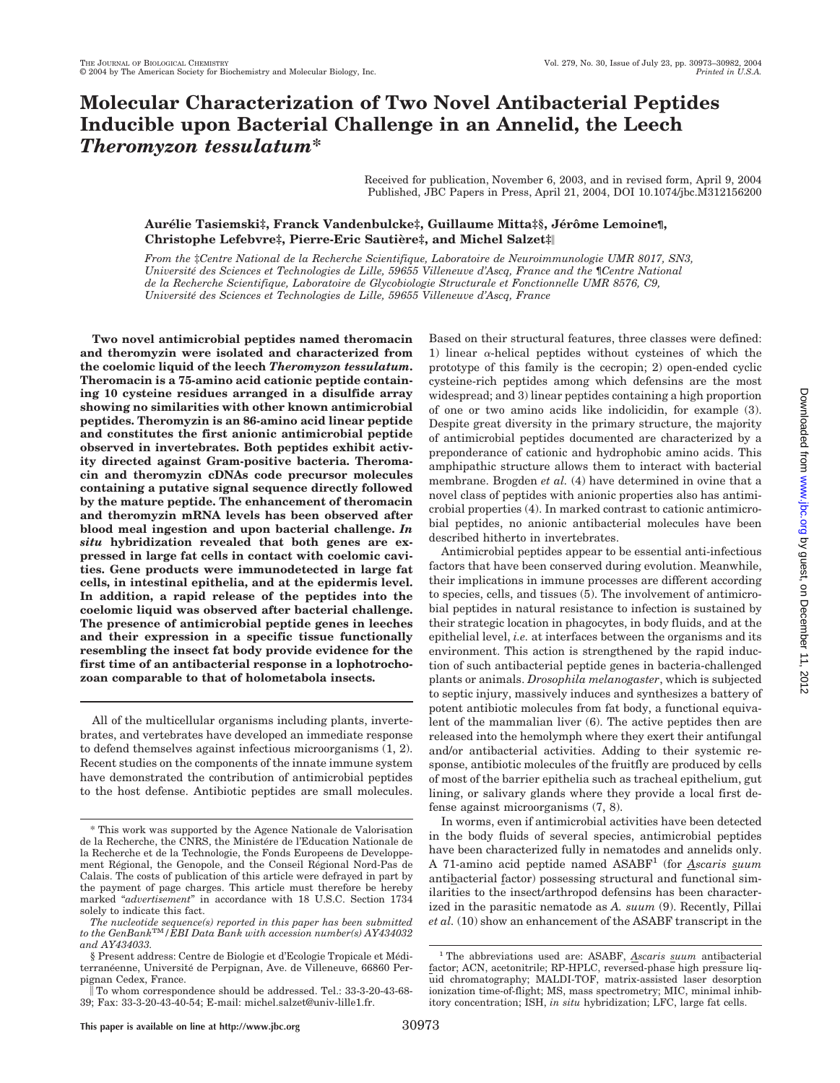# **Molecular Characterization of Two Novel Antibacterial Peptides Inducible upon Bacterial Challenge in an Annelid, the Leech** *Theromyzon tessulatum***\***

Received for publication, November 6, 2003, and in revised form, April 9, 2004 Published, JBC Papers in Press, April 21, 2004, DOI 10.1074/jbc.M312156200

# **Aure´lie Tasiemski‡, Franck Vandenbulcke‡, Guillaume Mitta‡§, Je´roˆme Lemoine¶,** Christophe Lefebvre‡, Pierre-Eric Sautière‡, and Michel Salzet‡

*From the* ‡*Centre National de la Recherche Scientifique, Laboratoire de Neuroimmunologie UMR 8017, SN3, Universite´ des Sciences et Technologies de Lille, 59655 Villeneuve d'Ascq, France and the* ¶*Centre National de la Recherche Scientifique, Laboratoire de Glycobiologie Structurale et Fonctionnelle UMR 8576, C9, Universite´ des Sciences et Technologies de Lille, 59655 Villeneuve d'Ascq, France*

**Two novel antimicrobial peptides named theromacin and theromyzin were isolated and characterized from the coelomic liquid of the leech** *Theromyzon tessulatum***. Theromacin is a 75-amino acid cationic peptide containing 10 cysteine residues arranged in a disulfide array showing no similarities with other known antimicrobial peptides. Theromyzin is an 86-amino acid linear peptide and constitutes the first anionic antimicrobial peptide observed in invertebrates. Both peptides exhibit activity directed against Gram-positive bacteria. Theromacin and theromyzin cDNAs code precursor molecules containing a putative signal sequence directly followed by the mature peptide. The enhancement of theromacin and theromyzin mRNA levels has been observed after blood meal ingestion and upon bacterial challenge.** *In situ* **hybridization revealed that both genes are expressed in large fat cells in contact with coelomic cavities. Gene products were immunodetected in large fat cells, in intestinal epithelia, and at the epidermis level. In addition, a rapid release of the peptides into the coelomic liquid was observed after bacterial challenge. The presence of antimicrobial peptide genes in leeches and their expression in a specific tissue functionally resembling the insect fat body provide evidence for the first time of an antibacterial response in a lophotrochozoan comparable to that of holometabola insects.**

All of the multicellular organisms including plants, invertebrates, and vertebrates have developed an immediate response to defend themselves against infectious microorganisms (1, 2). Recent studies on the components of the innate immune system have demonstrated the contribution of antimicrobial peptides to the host defense. Antibiotic peptides are small molecules. Based on their structural features, three classes were defined: 1) linear  $\alpha$ -helical peptides without cysteines of which the prototype of this family is the cecropin; 2) open-ended cyclic cysteine-rich peptides among which defensins are the most widespread; and 3) linear peptides containing a high proportion of one or two amino acids like indolicidin, for example (3). Despite great diversity in the primary structure, the majority of antimicrobial peptides documented are characterized by a preponderance of cationic and hydrophobic amino acids. This amphipathic structure allows them to interact with bacterial membrane. Brogden *et al.* (4) have determined in ovine that a novel class of peptides with anionic properties also has antimicrobial properties (4). In marked contrast to cationic antimicrobial peptides, no anionic antibacterial molecules have been described hitherto in invertebrates.

Antimicrobial peptides appear to be essential anti-infectious factors that have been conserved during evolution. Meanwhile, their implications in immune processes are different according to species, cells, and tissues (5). The involvement of antimicrobial peptides in natural resistance to infection is sustained by their strategic location in phagocytes, in body fluids, and at the epithelial level, *i.e.* at interfaces between the organisms and its environment. This action is strengthened by the rapid induction of such antibacterial peptide genes in bacteria-challenged plants or animals. *Drosophila melanogaster*, which is subjected to septic injury, massively induces and synthesizes a battery of potent antibiotic molecules from fat body, a functional equivalent of the mammalian liver (6). The active peptides then are released into the hemolymph where they exert their antifungal and/or antibacterial activities. Adding to their systemic response, antibiotic molecules of the fruitfly are produced by cells of most of the barrier epithelia such as tracheal epithelium, gut lining, or salivary glands where they provide a local first defense against microorganisms (7, 8).

In worms, even if antimicrobial activities have been detected in the body fluids of several species, antimicrobial peptides have been characterized fully in nematodes and annelids only. A 71-amino acid peptide named ASABF1 (for *Ascaris suum* antibacterial factor) possessing structural and functional similarities to the insect/arthropod defensins has been characterized in the parasitic nematode as *A. suum* (9). Recently, Pillai *et al.* (10) show an enhancement of the ASABF transcript in the

<sup>\*</sup> This work was supported by the Agence Nationale de Valorisation de la Recherche, the CNRS, the Ministére de l'Education Nationale de la Recherche et de la Technologie, the Fonds Europeens de Developpement Régional, the Genopole, and the Conseil Régional Nord-Pas de Calais. The costs of publication of this article were defrayed in part by the payment of page charges. This article must therefore be hereby marked "*advertisement*" in accordance with 18 U.S.C. Section 1734 solely to indicate this fact.

*The nucleotide sequence(s) reported in this paper has been submitted to the GenBank*TM*/EBI Data Bank with accession number(s) AY434032 and AY434033.*

<sup>§</sup> Present address: Centre de Biologie et d'Ecologie Tropicale et Méditerranéenne, Université de Perpignan, Ave. de Villeneuve, 66860 Perpignan Cedex, France.

To whom correspondence should be addressed. Tel.: 33-3-20-43-68- 39; Fax: 33-3-20-43-40-54; E-mail: michel.salzet@univ-lille1.fr.

<sup>&</sup>lt;sup>1</sup> The abbreviations used are: ASABF, *Ascaris suum* antibacterial factor; ACN, acetonitrile; RP-HPLC, reversed-phase high pressure liquid chromatography; MALDI-TOF, matrix-assisted laser desorption ionization time-of-flight; MS, mass spectrometry; MIC, minimal inhibitory concentration; ISH, *in situ* hybridization; LFC, large fat cells.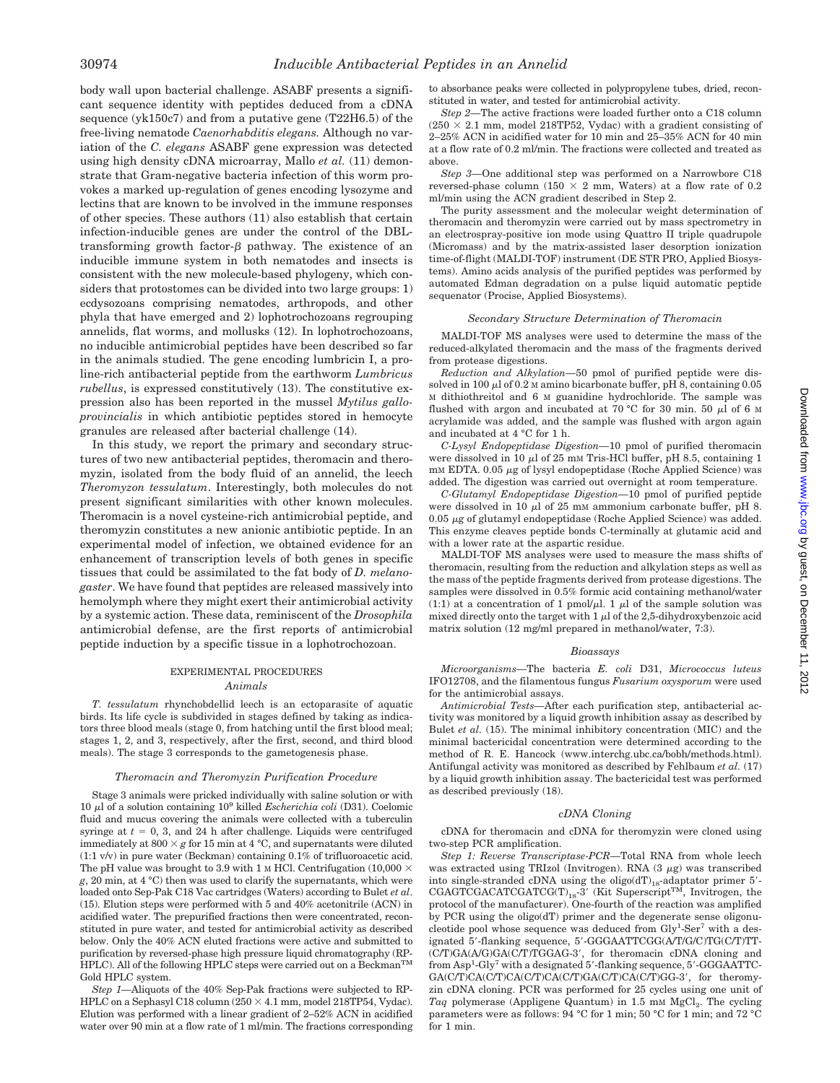body wall upon bacterial challenge. ASABF presents a significant sequence identity with peptides deduced from a cDNA sequence (yk150c7) and from a putative gene (T22H6.5) of the free-living nematode *Caenorhabditis elegans.* Although no variation of the *C. elegans* ASABF gene expression was detected using high density cDNA microarray, Mallo et al. (11) demonstrate that Gram-negative bacteria infection of this worm provokes a marked up-regulation of genes encoding lysozyme and lectins that are known to be involved in the immune responses of other species. These authors (11) also establish that certain infection-inducible genes are under the control of the DBLtransforming growth factor- $\beta$  pathway. The existence of an inducible immune system in both nematodes and insects is consistent with the new molecule-based phylogeny, which considers that protostomes can be divided into two large groups: 1) ecdysozoans comprising nematodes, arthropods, and other phyla that have emerged and 2) lophotrochozoans regrouping annelids, flat worms, and mollusks (12). In lophotrochozoans, no inducible antimicrobial peptides have been described so far in the animals studied. The gene encoding lumbricin I, a proline-rich antibacterial peptide from the earthworm *Lumbricus rubellus*, is expressed constitutively (13). The constitutive expression also has been reported in the mussel *Mytilus galloprovincialis* in which antibiotic peptides stored in hemocyte granules are released after bacterial challenge (14).

In this study, we report the primary and secondary structures of two new antibacterial peptides, theromacin and theromyzin, isolated from the body fluid of an annelid, the leech *Theromyzon tessulatum*. Interestingly, both molecules do not present significant similarities with other known molecules. Theromacin is a novel cysteine-rich antimicrobial peptide, and theromyzin constitutes a new anionic antibiotic peptide. In an experimental model of infection, we obtained evidence for an enhancement of transcription levels of both genes in specific tissues that could be assimilated to the fat body of *D. melanogaster*. We have found that peptides are released massively into hemolymph where they might exert their antimicrobial activity by a systemic action. These data, reminiscent of the *Drosophila* antimicrobial defense, are the first reports of antimicrobial peptide induction by a specific tissue in a lophotrochozoan.

# EXPERIMENTAL PROCEDURES

## *Animals*

*T. tessulatum* rhynchobdellid leech is an ectoparasite of aquatic birds. Its life cycle is subdivided in stages defined by taking as indicators three blood meals (stage 0, from hatching until the first blood meal; stages 1, 2, and 3, respectively, after the first, second, and third blood meals). The stage 3 corresponds to the gametogenesis phase.

#### *Theromacin and Theromyzin Purification Procedure*

Stage 3 animals were pricked individually with saline solution or with 10 µl of a solution containing 10<sup>9</sup> killed *Escherichia coli* (D31). Coelomic fluid and mucus covering the animals were collected with a tuberculin syringe at  $t = 0$ , 3, and 24 h after challenge. Liquids were centrifuged immediately at  $800 \times g$  for 15 min at 4 °C, and supernatants were diluted (1:1 v/v) in pure water (Beckman) containing 0.1% of trifluoroacetic acid. The pH value was brought to 3.9 with 1 M HCl. Centrifugation (10,000  $\times$ *g*, 20 min, at 4 °C) then was used to clarify the supernatants, which were loaded onto Sep-Pak C18 Vac cartridges (Waters) according to Bulet *et al*. (15). Elution steps were performed with 5 and 40% acetonitrile (ACN) in acidified water. The prepurified fractions then were concentrated, reconstituted in pure water, and tested for antimicrobial activity as described below. Only the 40% ACN eluted fractions were active and submitted to purification by reversed-phase high pressure liquid chromatography (RP- $HPLC$ ). All of the following HPLC steps were carried out on a Beckman<sup>TM</sup> Gold HPLC system.

*Step 1—*Aliquots of the 40% Sep-Pak fractions were subjected to RP-HPLC on a Sephasyl C18 column  $(250 \times 4.1 \text{ mm}, \text{model } 218 \text{TP}54, \text{Vydac}).$ Elution was performed with a linear gradient of 2–52% ACN in acidified water over 90 min at a flow rate of 1 ml/min. The fractions corresponding to absorbance peaks were collected in polypropylene tubes, dried, reconstituted in water, and tested for antimicrobial activity.

*Step 2—*The active fractions were loaded further onto a C18 column  $(250 \times 2.1 \text{ mm}, \text{ model } 218 \text{TP} 52, \text{ Vydac})$  with a gradient consisting of 2–25% ACN in acidified water for 10 min and 25–35% ACN for 40 min at a flow rate of 0.2 ml/min. The fractions were collected and treated as above.

*Step 3—*One additional step was performed on a Narrowbore C18 reversed-phase column (150  $\times$  2 mm, Waters) at a flow rate of 0.2 ml/min using the ACN gradient described in Step 2.

The purity assessment and the molecular weight determination of theromacin and theromyzin were carried out by mass spectrometry in an electrospray-positive ion mode using Quattro II triple quadrupole (Micromass) and by the matrix-assisted laser desorption ionization time-of-flight (MALDI-TOF) instrument (DE STR PRO, Applied Biosystems). Amino acids analysis of the purified peptides was performed by automated Edman degradation on a pulse liquid automatic peptide sequenator (Procise, Applied Biosystems).

#### *Secondary Structure Determination of Theromacin*

MALDI-TOF MS analyses were used to determine the mass of the reduced-alkylated theromacin and the mass of the fragments derived from protease digestions.

*Reduction and Alkylation—*50 pmol of purified peptide were dissolved in 100  $\mu$ l of 0.2 M amino bicarbonate buffer, pH 8, containing 0.05 M dithiothreitol and 6 M guanidine hydrochloride. The sample was flushed with argon and incubated at 70 °C for 30 min. 50  $\mu$ l of 6 M acrylamide was added, and the sample was flushed with argon again and incubated at 4 °C for 1 h.

*C-Lysyl Endopeptidase Digestion—*10 pmol of purified theromacin were dissolved in 10  $\mu$ l of 25 mm Tris-HCl buffer, pH 8.5, containing 1  $mm$  EDTA. 0.05  $\mu$ g of lysyl endopeptidase (Roche Applied Science) was added. The digestion was carried out overnight at room temperature.

*C-Glutamyl Endopeptidase Digestion—*10 pmol of purified peptide were dissolved in 10  $\mu$ l of 25 mM ammonium carbonate buffer, pH 8.  $0.05 \mu$ g of glutamyl endopeptidase (Roche Applied Science) was added. This enzyme cleaves peptide bonds C-terminally at glutamic acid and with a lower rate at the aspartic residue.

MALDI-TOF MS analyses were used to measure the mass shifts of theromacin, resulting from the reduction and alkylation steps as well as the mass of the peptide fragments derived from protease digestions. The samples were dissolved in 0.5% formic acid containing methanol/water (1:1) at a concentration of 1 pmol/ $\mu$ l. 1  $\mu$ l of the sample solution was mixed directly onto the target with  $1 \mu$  of the 2,5-dihydroxybenzoic acid matrix solution (12 mg/ml prepared in methanol/water, 7:3).

#### *Bioassays*

*Microorganisms—*The bacteria *E. coli* D31, *Micrococcus luteus* IFO12708, and the filamentous fungus *Fusarium oxysporum* were used for the antimicrobial assays.

*Antimicrobial Tests—*After each purification step, antibacterial activity was monitored by a liquid growth inhibition assay as described by Bulet *et al.* (15). The minimal inhibitory concentration (MIC) and the minimal bactericidal concentration were determined according to the method of R. E. Hancock (www.interchg.ubc.ca/bobh/methods.html). Antifungal activity was monitored as described by Fehlbaum *et al.* (17) by a liquid growth inhibition assay. The bactericidal test was performed as described previously (18).

#### *cDNA Cloning*

cDNA for theromacin and cDNA for theromyzin were cloned using two-step PCR amplification.

*Step 1: Reverse Transcriptase-PCR—*Total RNA from whole leech was extracted using TRIzol (Invitrogen). RNA  $(3 \mu g)$  was transcribed into single-stranded cDNA using the  $oligo(dT)_{18}$ -adaptator primer 5'-CGAGTCGACATCGATCG(T)<sub>18</sub>-3' (Kit Superscript<sup>TM</sup>, Invitrogen, the protocol of the manufacturer). One-fourth of the reaction was amplified by PCR using the oligo(dT) primer and the degenerate sense oligonucleotide pool whose sequence was deduced from Gly<sup>1</sup>-Ser<sup>7</sup> with a designated 5-flanking sequence, 5-GGGAATTCGG(A/T/G/C)TG(C/T)TT- (C/T)GA(A/G)GA(C/T)TGGAG-3, for theromacin cDNA cloning and from Asp<sup>1</sup>-Gly<sup>7</sup> with a designated 5'-flanking sequence, 5'-GGGAATTC-GA(C/T)CA(C/T)CA(C/T)CA(C/T)GA(C/T)CA(C/T)GG-3, for theromyzin cDNA cloning. PCR was performed for 25 cycles using one unit of  $Taq$  polymerase (Appligene Quantum) in 1.5 mm  $MgCl_2$ . The cycling parameters were as follows: 94 °C for 1 min; 50 °C for 1 min; and 72 °C for 1 min.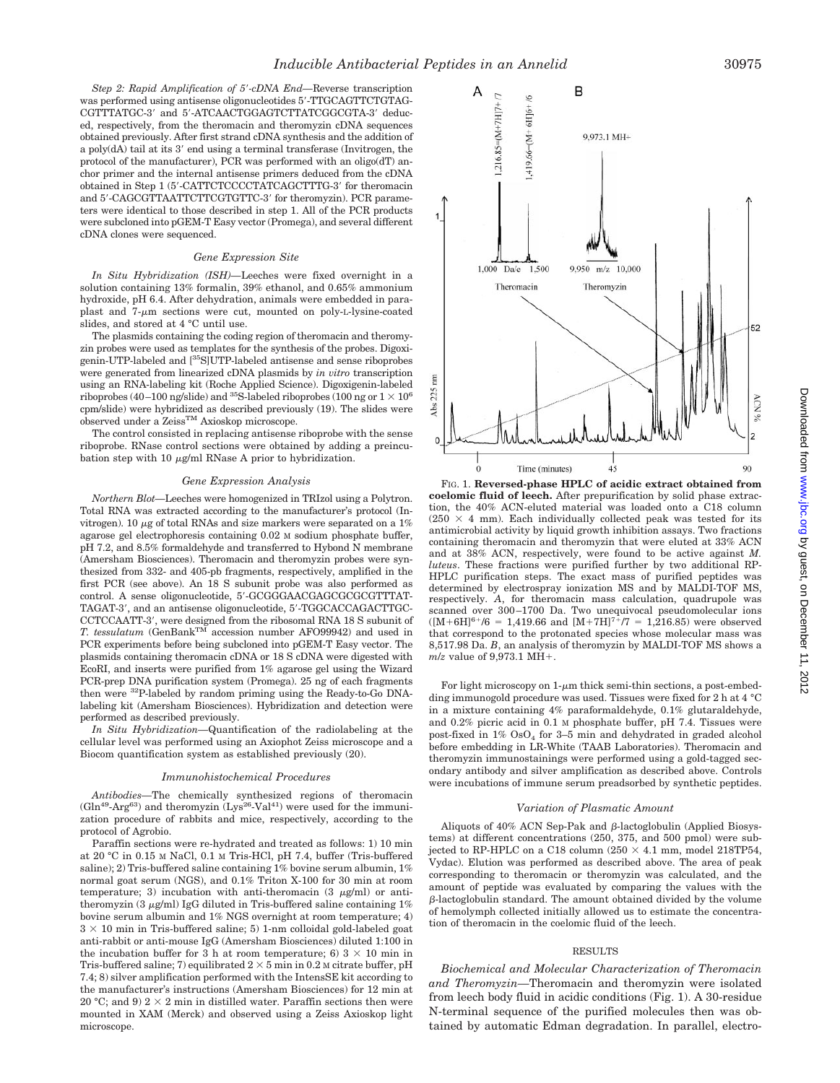*Step 2: Rapid Amplification of 5-cDNA End—*Reverse transcription was performed using antisense oligonucleotides 5-TTGCAGTTCTGTAG-CGTTTATGC-3 and 5-ATCAACTGGAGTCTTATCGGCGTA-3 deduced, respectively, from the theromacin and theromyzin cDNA sequences obtained previously. After first strand cDNA synthesis and the addition of a poly $(dA)$  tail at its 3' end using a terminal transferase (Invitrogen, the protocol of the manufacturer), PCR was performed with an oligo(dT) anchor primer and the internal antisense primers deduced from the cDNA obtained in Step 1 (5'-CATTCTCCCCTATCAGCTTTG-3' for theromacin and 5'-CAGCGTTAATTCTTCGTGTTC-3' for theromyzin). PCR parameters were identical to those described in step 1. All of the PCR products were subcloned into pGEM-T Easy vector (Promega), and several different cDNA clones were sequenced.

#### *Gene Expression Site*

*In Situ Hybridization (ISH)—*Leeches were fixed overnight in a solution containing 13% formalin, 39% ethanol, and 0.65% ammonium hydroxide, pH 6.4. After dehydration, animals were embedded in paraplast and  $7-\mu m$  sections were cut, mounted on poly-L-lysine-coated slides, and stored at 4 °C until use.

The plasmids containing the coding region of theromacin and theromyzin probes were used as templates for the synthesis of the probes. Digoxigenin-UTP-labeled and [35S]UTP-labeled antisense and sense riboprobes were generated from linearized cDNA plasmids by *in vitro* transcription using an RNA-labeling kit (Roche Applied Science). Digoxigenin-labeled riboprobes (40–100 ng/slide) and <sup>35</sup>S-labeled riboprobes (100 ng or  $1 \times 10^6$ cpm/slide) were hybridized as described previously (19). The slides were observed under a ZeissTM Axioskop microscope.

The control consisted in replacing antisense riboprobe with the sense riboprobe. RNase control sections were obtained by adding a preincubation step with 10  $\mu$ g/ml RNase A prior to hybridization.

#### *Gene Expression Analysis*

*Northern Blot—*Leeches were homogenized in TRIzol using a Polytron. Total RNA was extracted according to the manufacturer's protocol (Invitrogen). 10  $\mu$ g of total RNAs and size markers were separated on a 1% agarose gel electrophoresis containing 0.02 M sodium phosphate buffer, pH 7.2, and 8.5% formaldehyde and transferred to Hybond N membrane (Amersham Biosciences). Theromacin and theromyzin probes were synthesized from 332- and 405-pb fragments, respectively, amplified in the first PCR (see above). An 18 S subunit probe was also performed as control. A sense oligonucleotide, 5-GCGGGAACGAGCGCGCGTTTAT-TAGAT-3', and an antisense oligonucleotide, 5'-TGGCACCAGACTTGC-CCTCCAATT-3, were designed from the ribosomal RNA 18 S subunit of *T. tessulatum* (GenBankTM accession number AFO99942) and used in PCR experiments before being subcloned into pGEM-T Easy vector. The plasmids containing theromacin cDNA or 18 S cDNA were digested with EcoRI, and inserts were purified from 1% agarose gel using the Wizard PCR-prep DNA purification system (Promega). 25 ng of each fragments then were 32P-labeled by random priming using the Ready-to-Go DNAlabeling kit (Amersham Biosciences). Hybridization and detection were performed as described previously.

*In Situ Hybridization—*Quantification of the radiolabeling at the cellular level was performed using an Axiophot Zeiss microscope and a Biocom quantification system as established previously (20).

#### *Immunohistochemical Procedures*

*Antibodies—*The chemically synthesized regions of theromacin  $(Gln^{49} - Arg^{63})$  and theromyzin  $(Lys^{26} - Val^{41})$  were used for the immunization procedure of rabbits and mice, respectively, according to the protocol of Agrobio.

Paraffin sections were re-hydrated and treated as follows: 1) 10 min at 20 °C in 0.15 M NaCl, 0.1 M Tris-HCl, pH 7.4, buffer (Tris-buffered saline); 2) Tris-buffered saline containing 1% bovine serum albumin, 1% normal goat serum (NGS), and 0.1% Triton X-100 for 30 min at room temperature; 3) incubation with anti-theromacin (3  $\mu$ g/ml) or antitheromyzin (3  $\mu$ g/ml) IgG diluted in Tris-buffered saline containing 1% bovine serum albumin and 1% NGS overnight at room temperature; 4)  $3 \times 10$  min in Tris-buffered saline; 5) 1-nm colloidal gold-labeled goat anti-rabbit or anti-mouse IgG (Amersham Biosciences) diluted 1:100 in the incubation buffer for 3 h at room temperature; 6)  $3 \times 10$  min in Tris-buffered saline; 7) equilibrated  $2 \times 5$  min in 0.2 M citrate buffer, pH 7.4; 8) silver amplification performed with the IntensSE kit according to the manufacturer's instructions (Amersham Biosciences) for 12 min at 20 °C; and 9)  $2 \times 2$  min in distilled water. Paraffin sections then were mounted in XAM (Merck) and observed using a Zeiss Axioskop light microscope.



FIG. 1. **Reversed-phase HPLC of acidic extract obtained from coelomic fluid of leech.** After prepurification by solid phase extraction, the 40% ACN-eluted material was loaded onto a C18 column  $(250 \times 4 \text{ mm})$ . Each individually collected peak was tested for its antimicrobial activity by liquid growth inhibition assays. Two fractions containing theromacin and theromyzin that were eluted at 33% ACN and at 38% ACN, respectively, were found to be active against *M. luteus*. These fractions were purified further by two additional RP-HPLC purification steps. The exact mass of purified peptides was determined by electrospray ionization MS and by MALDI-TOF MS, respectively. *A*, for theromacin mass calculation, quadrupole was scanned over 300–1700 Da. Two unequivocal pseudomolecular ions  $([M+6H]^{6+}/6 = 1,419.66$  and  $[M+7H]^{7+}/7 = 1,216.85$ ) were observed that correspond to the protonated species whose molecular mass was 8,517.98 Da. *B*, an analysis of theromyzin by MALDI-TOF MS shows a *m/z* value of 9,973.1 MH+.

For light microscopy on  $1-\mu m$  thick semi-thin sections, a post-embedding immunogold procedure was used. Tissues were fixed for 2 h at 4 °C in a mixture containing 4% paraformaldehyde, 0.1% glutaraldehyde, and 0.2% picric acid in 0.1 M phosphate buffer, pH 7.4. Tissues were post-fixed in  $1\%$  OsO<sub>4</sub> for 3–5 min and dehydrated in graded alcohol before embedding in LR-White (TAAB Laboratories). Theromacin and theromyzin immunostainings were performed using a gold-tagged secondary antibody and silver amplification as described above. Controls were incubations of immune serum preadsorbed by synthetic peptides.

#### *Variation of Plasmatic Amount*

Aliquots of  $40\%$  ACN Sep-Pak and  $\beta$ -lactoglobulin (Applied Biosystems) at different concentrations (250, 375, and 500 pmol) were subjected to RP-HPLC on a C18 column (250  $\times$  4.1 mm, model 218TP54, Vydac). Elution was performed as described above. The area of peak corresponding to theromacin or theromyzin was calculated, and the amount of peptide was evaluated by comparing the values with the  $\beta$ -lactoglobulin standard. The amount obtained divided by the volume of hemolymph collected initially allowed us to estimate the concentration of theromacin in the coelomic fluid of the leech.

#### RESULTS

*Biochemical and Molecular Characterization of Theromacin and Theromyzin—*Theromacin and theromyzin were isolated from leech body fluid in acidic conditions (Fig. 1). A 30-residue N-terminal sequence of the purified molecules then was obtained by automatic Edman degradation. In parallel, electro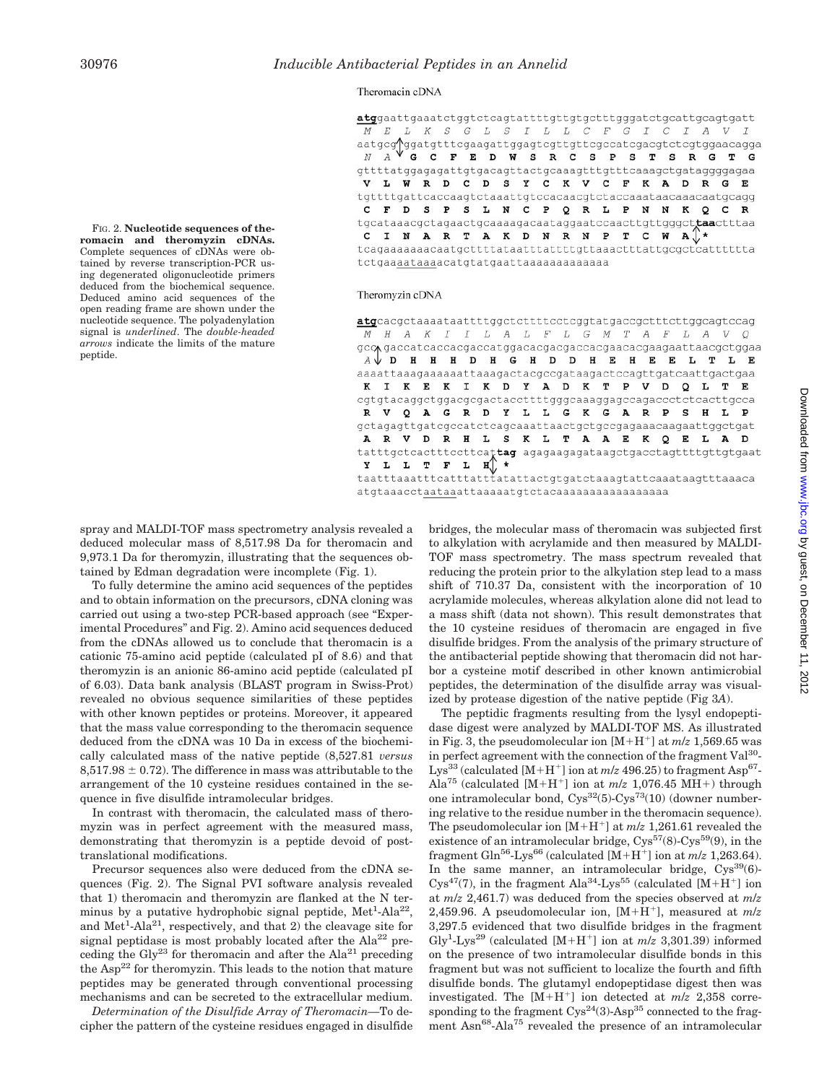peptide.

FIG. 2. **Nucleotide sequences of theromacin and theromyzin cDNAs.** Complete sequences of cDNAs were obtained by reverse transcription-PCR using degenerated oligonucleotide primers deduced from the biochemical sequence. Deduced amino acid sequences of the open reading frame are shown under the nucleotide sequence. The polyadenylation signal is *underlined*. The *double-headed arrows* indicate the limits of the mature

### Theromacin cDNA

atggaattgaaatctggtctcagtattttgttgtgctttgggatctgcattgcagtgatt M E L K S G L S I L L C F G I C I A V I aatgcg atgttttegaagattggagtegttgttegeeategaegtetegtggaaeagga<br>
NA CCFEDWSRCSPSTSRGTG V L W R D C D S Y C K V C F K A D R G E C F D S P S L N C P Q R L P N N K Q C R tgcataaacgctagaactgcaaaagacaataggaatccaacttgttgggcttaactttaa CINARTAKDNRNPTCWA $\mathbb{C}^*$ tcagaaaaaaacaatgcttttataatttattttgttaaactttattgcgctcatttttta tctgaaaataaaacatgtatgaattaaaaaaaaaaaaa

#### Theromyzin cDNA

atgcacgctaaaataattttggctcttttcctcggtatgaccgctttcttggcagtccag M H A K I I L A L F L G M T A F L A V Q gccngaccatcaccacgaccatggacacgacgaccacgaacacgaagaattaacgctggaa A V D H H H D H G H D D H E H E E L T L E aaaattaaagaaaaaattaaagactacgccgataagactccagttgatcaattgactgaa K I K E K I K D Y A D K T P V D Q L T E cgtgtacaggctggacgcgactaccttttgggcaaaggagccagaccctctcacttgcca R V Q A G R D Y L L G K G A R P S H L P gctagagttgatcgccatctcagcaaattaactgctgccgagaaacaagaattggctgat A R V D R H L S K L T A A E K Q E L A D tatttgctcactttccttcattag agagaagagataagctgacctagttttgttgtgaat Y L L T F L H +

taatttaaatttcatttatttatattactgtgatctaaagtattcaaataagtttaaaca 

spray and MALDI-TOF mass spectrometry analysis revealed a deduced molecular mass of 8,517.98 Da for theromacin and 9,973.1 Da for theromyzin, illustrating that the sequences obtained by Edman degradation were incomplete (Fig. 1).

To fully determine the amino acid sequences of the peptides and to obtain information on the precursors, cDNA cloning was carried out using a two-step PCR-based approach (see "Experimental Procedures" and Fig. 2). Amino acid sequences deduced from the cDNAs allowed us to conclude that theromacin is a cationic 75-amino acid peptide (calculated pI of 8.6) and that theromyzin is an anionic 86-amino acid peptide (calculated pI of 6.03). Data bank analysis (BLAST program in Swiss-Prot) revealed no obvious sequence similarities of these peptides with other known peptides or proteins. Moreover, it appeared that the mass value corresponding to the theromacin sequence deduced from the cDNA was 10 Da in excess of the biochemically calculated mass of the native peptide (8,527.81 *versus*  $8,517.98 \pm 0.72$ ). The difference in mass was attributable to the arrangement of the 10 cysteine residues contained in the sequence in five disulfide intramolecular bridges.

In contrast with theromacin, the calculated mass of theromyzin was in perfect agreement with the measured mass, demonstrating that theromyzin is a peptide devoid of posttranslational modifications.

Precursor sequences also were deduced from the cDNA sequences (Fig. 2). The Signal PVI software analysis revealed that 1) theromacin and theromyzin are flanked at the N terminus by a putative hydrophobic signal peptide, Met<sup>1</sup>-Ala<sup>22</sup>, and Met<sup>1</sup>-Ala<sup>21</sup>, respectively, and that 2) the cleavage site for signal peptidase is most probably located after the  $Ala^{22}$  preceding the Gly<sup>23</sup> for theromacin and after the Ala<sup>21</sup> preceding the  $\text{Asp}^{22}$  for theromyzin. This leads to the notion that mature peptides may be generated through conventional processing mechanisms and can be secreted to the extracellular medium.

*Determination of the Disulfide Array of Theromacin—*To decipher the pattern of the cysteine residues engaged in disulfide bridges, the molecular mass of theromacin was subjected first to alkylation with acrylamide and then measured by MALDI-TOF mass spectrometry. The mass spectrum revealed that reducing the protein prior to the alkylation step lead to a mass shift of 710.37 Da, consistent with the incorporation of 10 acrylamide molecules, whereas alkylation alone did not lead to a mass shift (data not shown). This result demonstrates that the 10 cysteine residues of theromacin are engaged in five disulfide bridges. From the analysis of the primary structure of the antibacterial peptide showing that theromacin did not harbor a cysteine motif described in other known antimicrobial peptides, the determination of the disulfide array was visualized by protease digestion of the native peptide (Fig 3*A*).

The peptidic fragments resulting from the lysyl endopeptidase digest were analyzed by MALDI-TOF MS. As illustrated in Fig. 3, the pseudomolecular ion  $[M+H^+]$  at  $m/z$  1,569.65 was in perfect agreement with the connection of the fragment Val<sup>30</sup>-Lys<sup>33</sup> (calculated  $[M+H^+]$  ion at  $m/z$  496.25) to fragment Asp<sup>67</sup>-Ala<sup>75</sup> (calculated [M+H<sup>+</sup>] ion at  $m/z$  1,076.45 MH+) through one intramolecular bond,  $Cys^{32}(5)$ - $Cys^{73}(10)$  (downer numbering relative to the residue number in the theromacin sequence). The pseudomolecular ion  $[M+H^+]$  at  $m/z$  1,261.61 revealed the existence of an intramolecular bridge,  $Cys^{57}(8)$ - $Cys^{59}(9)$ , in the fragment Gln<sup>56</sup>-Lys<sup>66</sup> (calculated  $[M+H^+]$  ion at  $m/z$  1,263.64). In the same manner, an intramolecular bridge,  $C_{\text{VS}}^{39}(6)$ - $Cys^{47}(7)$ , in the fragment Ala<sup>34</sup>-Lys<sup>55</sup> (calculated [M+H<sup>+</sup>] ion at *m*/*z* 2,461.7) was deduced from the species observed at *m*/*z* 2,459.96. A pseudomolecular ion,  $[M+H^+]$ , measured at  $m/z$ 3,297.5 evidenced that two disulfide bridges in the fragment Gly<sup>1</sup>-Lys<sup>29</sup> (calculated [M+H<sup>+</sup>] ion at  $m/z$  3,301.39) informed on the presence of two intramolecular disulfide bonds in this fragment but was not sufficient to localize the fourth and fifth disulfide bonds. The glutamyl endopeptidase digest then was investigated. The  $[M+H^+]$  ion detected at  $m/z$  2,358 corresponding to the fragment  $C_{\text{VS}}^{24}(3)$ -Asp<sup>35</sup> connected to the fragment Asn<sup>68</sup>-Ala<sup>75</sup> revealed the presence of an intramolecular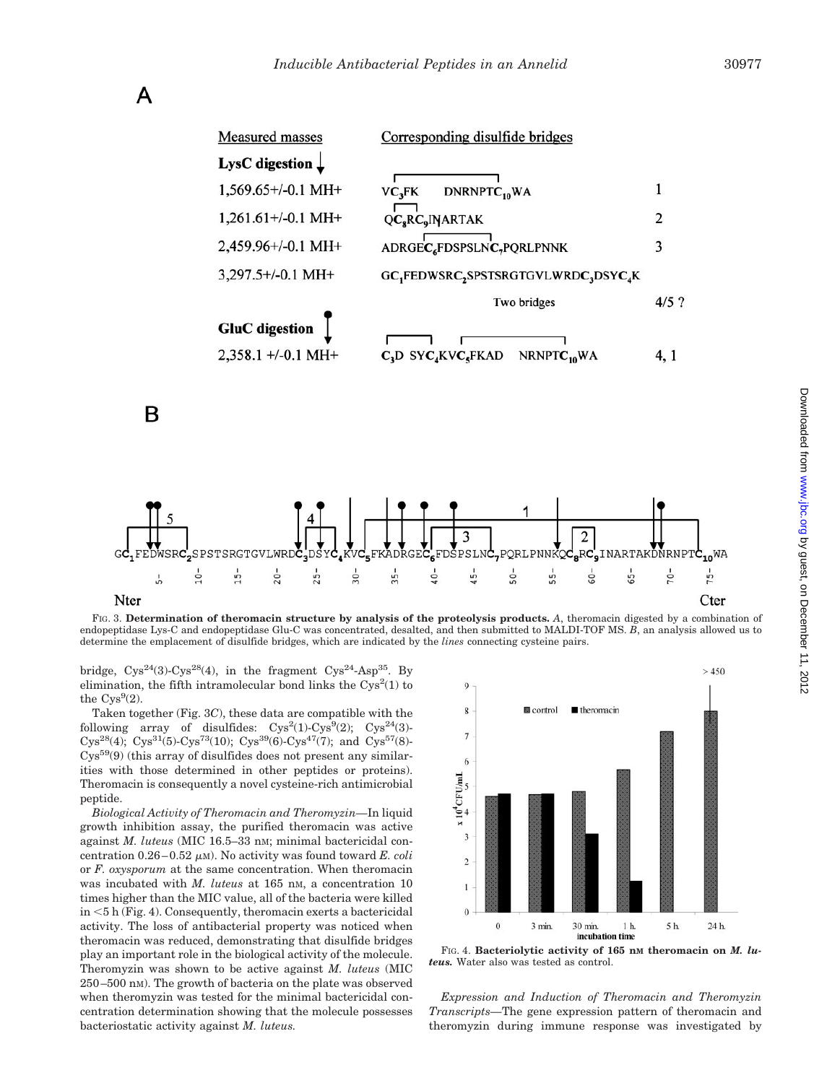



A



FIG. 3. **Determination of theromacin structure by analysis of the proteolysis products.** *A*, theromacin digested by a combination of endopeptidase Lys-C and endopeptidase Glu-C was concentrated, desalted, and then submitted to MALDI-TOF MS. *B*, an analysis allowed us to determine the emplacement of disulfide bridges, which are indicated by the *lines* connecting cysteine pairs.

bridge,  $Cys^{24}(3)$ - $Cys^{28}(4)$ , in the fragment  $Cys^{24}$ -Asp<sup>35</sup>. By elimination, the fifth intramolecular bond links the  $Cys<sup>2</sup>(1)$  to the  $Cys^9(2)$ .

Taken together (Fig. 3*C*), these data are compatible with the following array of disulfides:  $Cys^2(1)$ - $Cys^9(2)$ ;  $Cys^{24}(3)$ -Cys<sup>28</sup>(4); Cys<sup>31</sup>(5)-Cys<sup>73</sup>(10); Cys<sup>39</sup>(6)-Cys<sup>47</sup>(7); and Cys<sup>57</sup>(8)- $Cys^{59}(9)$  (this array of disulfides does not present any similarities with those determined in other peptides or proteins). Theromacin is consequently a novel cysteine-rich antimicrobial peptide.

*Biological Activity of Theromacin and Theromyzin—*In liquid growth inhibition assay, the purified theromacin was active against *M. luteus* (MIC 16.5–33 nM; minimal bactericidal concentration  $0.26-0.52 \mu M$ ). No activity was found toward *E. coli* or *F. oxysporum* at the same concentration. When theromacin was incubated with *M. luteus* at 165 nm, a concentration 10 times higher than the MIC value, all of the bacteria were killed  $in < 5$  h (Fig. 4). Consequently, theromacin exerts a bactericidal activity. The loss of antibacterial property was noticed when theromacin was reduced, demonstrating that disulfide bridges play an important role in the biological activity of the molecule. Theromyzin was shown to be active against *M. luteus* (MIC 250–500 nM). The growth of bacteria on the plate was observed when theromyzin was tested for the minimal bactericidal concentration determination showing that the molecule possesses bacteriostatic activity against *M. luteus.*



FIG. 4. Bacteriolytic activity of 165 nm theromacin on *M. luteus.* Water also was tested as control.

*Expression and Induction of Theromacin and Theromyzin Transcripts—*The gene expression pattern of theromacin and theromyzin during immune response was investigated by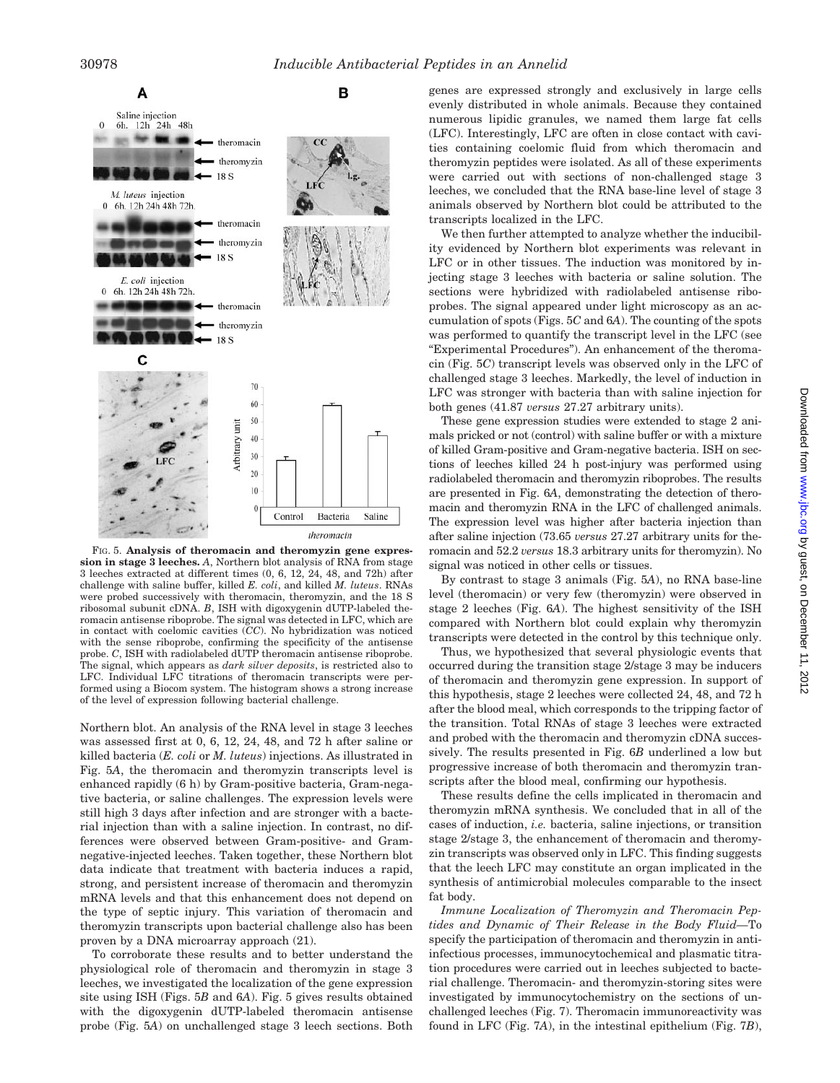

FIG. 5. **Analysis of theromacin and theromyzin gene expression in stage 3 leeches.** *A*, Northern blot analysis of RNA from stage 3 leeches extracted at different times (0, 6, 12, 24, 48, and 72h) after challenge with saline buffer, killed *E. coli*, and killed *M. luteus*. RNAs were probed successively with theromacin, theromyzin, and the 18 S ribosomal subunit cDNA. *B*, ISH with digoxygenin dUTP-labeled theromacin antisense riboprobe. The signal was detected in LFC, which are in contact with coelomic cavities (*CC*). No hybridization was noticed with the sense riboprobe, confirming the specificity of the antisense probe. *C*, ISH with radiolabeled dUTP theromacin antisense riboprobe. The signal, which appears as *dark silver deposits*, is restricted also to LFC. Individual LFC titrations of theromacin transcripts were performed using a Biocom system. The histogram shows a strong increase of the level of expression following bacterial challenge.

Northern blot. An analysis of the RNA level in stage 3 leeches was assessed first at 0, 6, 12, 24, 48, and 72 h after saline or killed bacteria (*E. coli* or *M. luteus*) injections. As illustrated in Fig. 5*A*, the theromacin and theromyzin transcripts level is enhanced rapidly (6 h) by Gram-positive bacteria, Gram-negative bacteria, or saline challenges. The expression levels were still high 3 days after infection and are stronger with a bacterial injection than with a saline injection. In contrast, no differences were observed between Gram-positive- and Gramnegative-injected leeches. Taken together, these Northern blot data indicate that treatment with bacteria induces a rapid, strong, and persistent increase of theromacin and theromyzin mRNA levels and that this enhancement does not depend on the type of septic injury. This variation of theromacin and theromyzin transcripts upon bacterial challenge also has been proven by a DNA microarray approach (21).

To corroborate these results and to better understand the physiological role of theromacin and theromyzin in stage 3 leeches, we investigated the localization of the gene expression site using ISH (Figs. 5*B* and 6*A*). Fig. 5 gives results obtained with the digoxygenin dUTP-labeled theromacin antisense probe (Fig. 5*A*) on unchallenged stage 3 leech sections. Both genes are expressed strongly and exclusively in large cells evenly distributed in whole animals. Because they contained numerous lipidic granules, we named them large fat cells (LFC). Interestingly, LFC are often in close contact with cavities containing coelomic fluid from which theromacin and theromyzin peptides were isolated. As all of these experiments were carried out with sections of non-challenged stage 3 leeches, we concluded that the RNA base-line level of stage 3 animals observed by Northern blot could be attributed to the transcripts localized in the LFC.

We then further attempted to analyze whether the inducibility evidenced by Northern blot experiments was relevant in LFC or in other tissues. The induction was monitored by injecting stage 3 leeches with bacteria or saline solution. The sections were hybridized with radiolabeled antisense riboprobes. The signal appeared under light microscopy as an accumulation of spots (Figs. 5*C* and 6*A*). The counting of the spots was performed to quantify the transcript level in the LFC (see "Experimental Procedures"). An enhancement of the theromacin (Fig. 5*C*) transcript levels was observed only in the LFC of challenged stage 3 leeches. Markedly, the level of induction in LFC was stronger with bacteria than with saline injection for both genes (41.87 *versus* 27.27 arbitrary units).

These gene expression studies were extended to stage 2 animals pricked or not (control) with saline buffer or with a mixture of killed Gram-positive and Gram-negative bacteria. ISH on sections of leeches killed 24 h post-injury was performed using radiolabeled theromacin and theromyzin riboprobes. The results are presented in Fig. 6*A*, demonstrating the detection of theromacin and theromyzin RNA in the LFC of challenged animals. The expression level was higher after bacteria injection than after saline injection (73.65 *versus* 27.27 arbitrary units for theromacin and 52.2 *versus* 18.3 arbitrary units for theromyzin). No signal was noticed in other cells or tissues.

By contrast to stage 3 animals (Fig. 5*A*), no RNA base-line level (theromacin) or very few (theromyzin) were observed in stage 2 leeches (Fig. 6*A*). The highest sensitivity of the ISH compared with Northern blot could explain why theromyzin transcripts were detected in the control by this technique only.

Thus, we hypothesized that several physiologic events that occurred during the transition stage 2/stage 3 may be inducers of theromacin and theromyzin gene expression. In support of this hypothesis, stage 2 leeches were collected 24, 48, and 72 h after the blood meal, which corresponds to the tripping factor of the transition. Total RNAs of stage 3 leeches were extracted and probed with the theromacin and theromyzin cDNA successively. The results presented in Fig. 6*B* underlined a low but progressive increase of both theromacin and theromyzin transcripts after the blood meal, confirming our hypothesis.

These results define the cells implicated in theromacin and theromyzin mRNA synthesis. We concluded that in all of the cases of induction, *i.e.* bacteria, saline injections, or transition stage 2/stage 3, the enhancement of theromacin and theromyzin transcripts was observed only in LFC. This finding suggests that the leech LFC may constitute an organ implicated in the synthesis of antimicrobial molecules comparable to the insect fat body.

*Immune Localization of Theromyzin and Theromacin Peptides and Dynamic of Their Release in the Body Fluid—*To specify the participation of theromacin and theromyzin in antiinfectious processes, immunocytochemical and plasmatic titration procedures were carried out in leeches subjected to bacterial challenge. Theromacin- and theromyzin-storing sites were investigated by immunocytochemistry on the sections of unchallenged leeches (Fig. 7). Theromacin immunoreactivity was found in LFC (Fig. 7*A*), in the intestinal epithelium (Fig. 7*B*),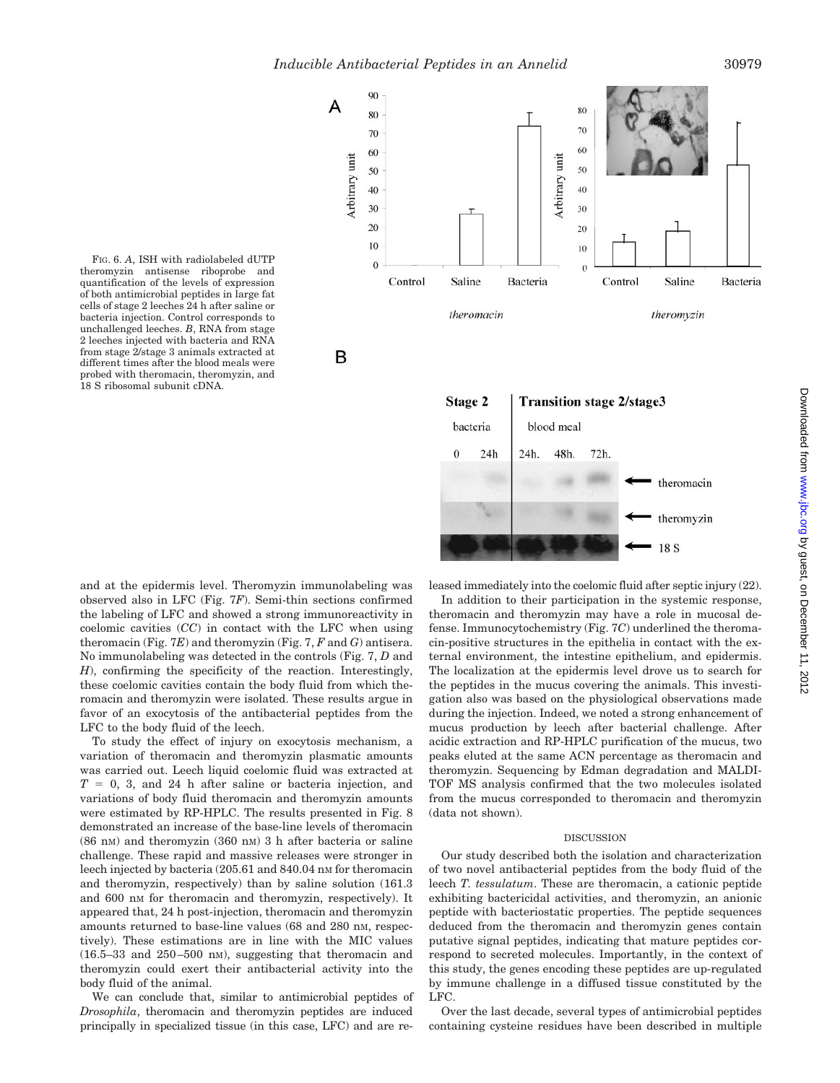





quantification of the levels of expression of both antimicrobial peptides in large fat cells of stage 2 leeches 24 h after saline or bacteria injection. Control corresponds to unchallenged leeches. *B*, RNA from stage 2 leeches injected with bacteria and RNA from stage 2/stage 3 animals extracted at different times after the blood meals were probed with theromacin, theromyzin, and 18 S ribosomal subunit cDNA.

FIG. 6. *A*, ISH with radiolabeled dUTP theromyzin antisense riboprobe and

and at the epidermis level. Theromyzin immunolabeling was observed also in LFC (Fig. 7*F*). Semi-thin sections confirmed the labeling of LFC and showed a strong immunoreactivity in coelomic cavities (*CC*) in contact with the LFC when using theromacin (Fig. 7*E*) and theromyzin (Fig. 7, *F* and *G*) antisera. No immunolabeling was detected in the controls (Fig. 7, *D* and *H*), confirming the specificity of the reaction. Interestingly, these coelomic cavities contain the body fluid from which theromacin and theromyzin were isolated. These results argue in favor of an exocytosis of the antibacterial peptides from the LFC to the body fluid of the leech.

To study the effect of injury on exocytosis mechanism, a variation of theromacin and theromyzin plasmatic amounts was carried out. Leech liquid coelomic fluid was extracted at  $T = 0$ , 3, and 24 h after saline or bacteria injection, and variations of body fluid theromacin and theromyzin amounts were estimated by RP-HPLC. The results presented in Fig. 8 demonstrated an increase of the base-line levels of theromacin (86 nM) and theromyzin (360 nM) 3 h after bacteria or saline challenge. These rapid and massive releases were stronger in leech injected by bacteria (205.61 and 840.04 nM for theromacin and theromyzin, respectively) than by saline solution (161.3 and 600 nM for theromacin and theromyzin, respectively). It appeared that, 24 h post-injection, theromacin and theromyzin amounts returned to base-line values (68 and 280 nM, respectively). These estimations are in line with the MIC values  $(16.5-33$  and  $250-500$  nm), suggesting that theromacin and theromyzin could exert their antibacterial activity into the body fluid of the animal.

We can conclude that, similar to antimicrobial peptides of *Drosophila*, theromacin and theromyzin peptides are induced principally in specialized tissue (in this case, LFC) and are released immediately into the coelomic fluid after septic injury (22).

In addition to their participation in the systemic response, theromacin and theromyzin may have a role in mucosal defense. Immunocytochemistry (Fig. 7*C*) underlined the theromacin-positive structures in the epithelia in contact with the external environment, the intestine epithelium, and epidermis. The localization at the epidermis level drove us to search for the peptides in the mucus covering the animals. This investigation also was based on the physiological observations made during the injection. Indeed, we noted a strong enhancement of mucus production by leech after bacterial challenge. After acidic extraction and RP-HPLC purification of the mucus, two peaks eluted at the same ACN percentage as theromacin and theromyzin. Sequencing by Edman degradation and MALDI-TOF MS analysis confirmed that the two molecules isolated from the mucus corresponded to theromacin and theromyzin (data not shown).

#### DISCUSSION

Our study described both the isolation and characterization of two novel antibacterial peptides from the body fluid of the leech *T. tessulatum*. These are theromacin, a cationic peptide exhibiting bactericidal activities, and theromyzin, an anionic peptide with bacteriostatic properties. The peptide sequences deduced from the theromacin and theromyzin genes contain putative signal peptides, indicating that mature peptides correspond to secreted molecules. Importantly, in the context of this study, the genes encoding these peptides are up-regulated by immune challenge in a diffused tissue constituted by the LFC.

Over the last decade, several types of antimicrobial peptides containing cysteine residues have been described in multiple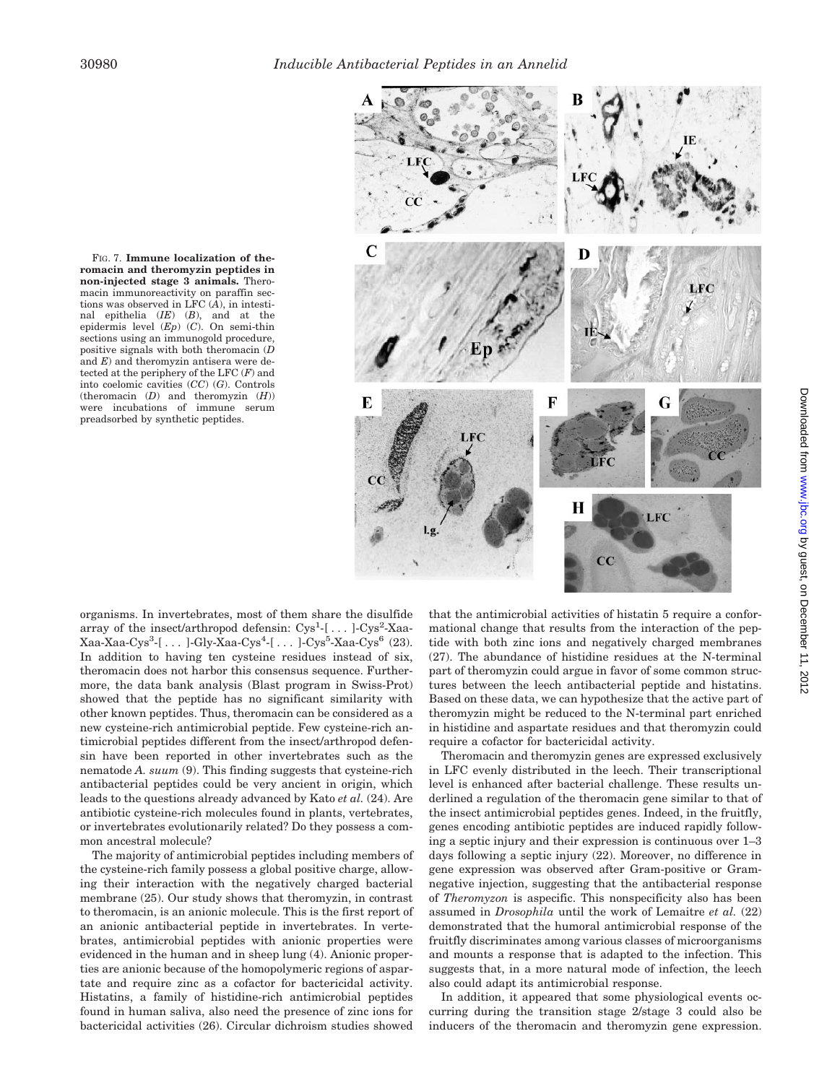

FIG. 7. **Immune localization of theromacin and theromyzin peptides in non-injected stage 3 animals.** Theromacin immunoreactivity on paraffin sections was observed in LFC (*A*), in intestinal epithelia (*IE*) (*B*), and at the epidermis level (*Ep*) (*C*). On semi-thin sections using an immunogold procedure, positive signals with both theromacin (*D* and *E*) and theromyzin antisera were detected at the periphery of the LFC (*F*) and into coelomic cavities (*CC*) (*G*). Controls (theromacin (*D*) and theromyzin (*H*)) were incubations of immune serum preadsorbed by synthetic peptides.

organisms. In invertebrates, most of them share the disulfide array of the insect/arthropod defensin: Cys<sup>1</sup>-[...]-Cys<sup>2</sup>-Xaa-Xaa-Xaa-Cys<sup>3</sup>-[...]-Gly-Xaa-Cys<sup>4</sup>-[...]-Cys<sup>5</sup>-Xaa-Cys<sup>6</sup> (23). In addition to having ten cysteine residues instead of six, theromacin does not harbor this consensus sequence. Furthermore, the data bank analysis (Blast program in Swiss-Prot) showed that the peptide has no significant similarity with other known peptides. Thus, theromacin can be considered as a new cysteine-rich antimicrobial peptide. Few cysteine-rich antimicrobial peptides different from the insect/arthropod defensin have been reported in other invertebrates such as the nematode *A. suum* (9). This finding suggests that cysteine-rich antibacterial peptides could be very ancient in origin, which leads to the questions already advanced by Kato *et al.* (24). Are antibiotic cysteine-rich molecules found in plants, vertebrates, or invertebrates evolutionarily related? Do they possess a common ancestral molecule?

The majority of antimicrobial peptides including members of the cysteine-rich family possess a global positive charge, allowing their interaction with the negatively charged bacterial membrane (25). Our study shows that theromyzin, in contrast to theromacin, is an anionic molecule. This is the first report of an anionic antibacterial peptide in invertebrates. In vertebrates, antimicrobial peptides with anionic properties were evidenced in the human and in sheep lung (4). Anionic properties are anionic because of the homopolymeric regions of aspartate and require zinc as a cofactor for bactericidal activity. Histatins, a family of histidine-rich antimicrobial peptides found in human saliva, also need the presence of zinc ions for bactericidal activities (26). Circular dichroism studies showed

that the antimicrobial activities of histatin 5 require a conformational change that results from the interaction of the peptide with both zinc ions and negatively charged membranes (27). The abundance of histidine residues at the N-terminal part of theromyzin could argue in favor of some common structures between the leech antibacterial peptide and histatins. Based on these data, we can hypothesize that the active part of theromyzin might be reduced to the N-terminal part enriched in histidine and aspartate residues and that theromyzin could require a cofactor for bactericidal activity.

Theromacin and theromyzin genes are expressed exclusively in LFC evenly distributed in the leech. Their transcriptional level is enhanced after bacterial challenge. These results underlined a regulation of the theromacin gene similar to that of the insect antimicrobial peptides genes. Indeed, in the fruitfly, genes encoding antibiotic peptides are induced rapidly following a septic injury and their expression is continuous over 1–3 days following a septic injury (22). Moreover, no difference in gene expression was observed after Gram-positive or Gramnegative injection, suggesting that the antibacterial response of *Theromyzon* is aspecific. This nonspecificity also has been assumed in *Drosophila* until the work of Lemaitre *et al.* (22) demonstrated that the humoral antimicrobial response of the fruitfly discriminates among various classes of microorganisms and mounts a response that is adapted to the infection. This suggests that, in a more natural mode of infection, the leech also could adapt its antimicrobial response.

In addition, it appeared that some physiological events occurring during the transition stage 2/stage 3 could also be inducers of the theromacin and theromyzin gene expression.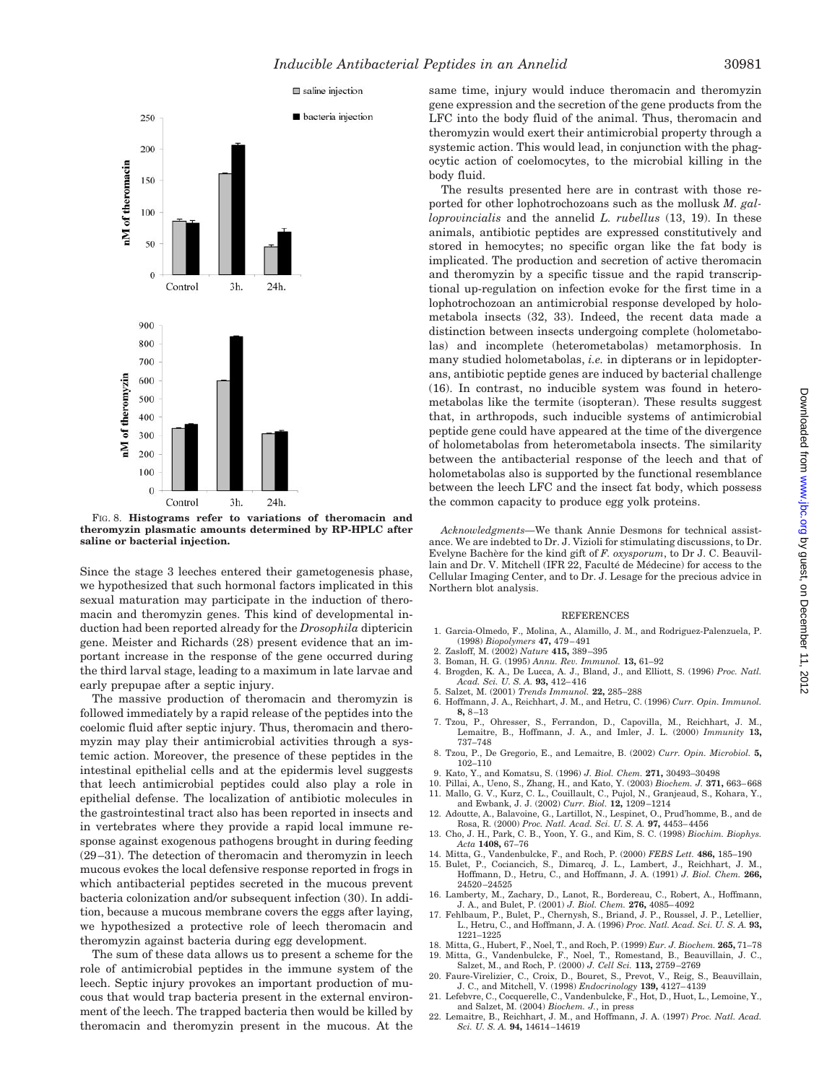

FIG. 8. **Histograms refer to variations of theromacin and theromyzin plasmatic amounts determined by RP-HPLC after saline or bacterial injection.**

Since the stage 3 leeches entered their gametogenesis phase, we hypothesized that such hormonal factors implicated in this sexual maturation may participate in the induction of theromacin and theromyzin genes. This kind of developmental induction had been reported already for the *Drosophila* diptericin gene. Meister and Richards (28) present evidence that an important increase in the response of the gene occurred during the third larval stage, leading to a maximum in late larvae and early prepupae after a septic injury.

The massive production of theromacin and theromyzin is followed immediately by a rapid release of the peptides into the coelomic fluid after septic injury. Thus, theromacin and theromyzin may play their antimicrobial activities through a systemic action. Moreover, the presence of these peptides in the intestinal epithelial cells and at the epidermis level suggests that leech antimicrobial peptides could also play a role in epithelial defense. The localization of antibiotic molecules in the gastrointestinal tract also has been reported in insects and in vertebrates where they provide a rapid local immune response against exogenous pathogens brought in during feeding (29–31). The detection of theromacin and theromyzin in leech mucous evokes the local defensive response reported in frogs in which antibacterial peptides secreted in the mucous prevent bacteria colonization and/or subsequent infection (30). In addition, because a mucous membrane covers the eggs after laying, we hypothesized a protective role of leech theromacin and theromyzin against bacteria during egg development.

The sum of these data allows us to present a scheme for the role of antimicrobial peptides in the immune system of the leech. Septic injury provokes an important production of mucous that would trap bacteria present in the external environment of the leech. The trapped bacteria then would be killed by theromacin and theromyzin present in the mucous. At the same time, injury would induce theromacin and theromyzin gene expression and the secretion of the gene products from the LFC into the body fluid of the animal. Thus, theromacin and theromyzin would exert their antimicrobial property through a systemic action. This would lead, in conjunction with the phagocytic action of coelomocytes, to the microbial killing in the body fluid.

The results presented here are in contrast with those reported for other lophotrochozoans such as the mollusk *M. galloprovincialis* and the annelid *L. rubellus* (13, 19). In these animals, antibiotic peptides are expressed constitutively and stored in hemocytes; no specific organ like the fat body is implicated. The production and secretion of active theromacin and theromyzin by a specific tissue and the rapid transcriptional up-regulation on infection evoke for the first time in a lophotrochozoan an antimicrobial response developed by holometabola insects (32, 33). Indeed, the recent data made a distinction between insects undergoing complete (holometabolas) and incomplete (heterometabolas) metamorphosis. In many studied holometabolas, *i.e.* in dipterans or in lepidopterans, antibiotic peptide genes are induced by bacterial challenge (16). In contrast, no inducible system was found in heterometabolas like the termite (isopteran). These results suggest that, in arthropods, such inducible systems of antimicrobial peptide gene could have appeared at the time of the divergence of holometabolas from heterometabola insects. The similarity between the antibacterial response of the leech and that of holometabolas also is supported by the functional resemblance between the leech LFC and the insect fat body, which possess the common capacity to produce egg yolk proteins.

*Acknowledgments—*We thank Annie Desmons for technical assistance. We are indebted to Dr. J. Vizioli for stimulating discussions, to Dr. Evelyne Bachère for the kind gift of *F. oxysporum*, to Dr J. C. Beauvillain and Dr. V. Mitchell (IFR 22, Faculté de Médecine) for access to the Cellular Imaging Center, and to Dr. J. Lesage for the precious advice in Northern blot analysis.

#### REFERENCES

- 1. Garcia-Olmedo, F., Molina, A., Alamillo, J. M., and Rodriguez-Palenzuela, P. (1998) *Biopolymers* **47,** 479–491
- 2. Zasloff, M. (2002) *Nature* **415,** 389–395
- 3. Boman, H. G. (1995) *Annu. Rev. Immunol.* **13,** 61–92 4. Brogden, K. A., De Lucca, A. J., Bland, J., and Elliott, S. (1996) *Proc. Natl.*
- *Acad. Sci. U. S. A.* **93,** 412–416
- 5. Salzet, M. (2001) *Trends Immunol.* **22,** 285–288
- 6. Hoffmann, J. A., Reichhart, J. M., and Hetru, C. (1996) *Curr. Opin. Immunol.* **8,** 8–13
- 7. Tzou, P., Ohresser, S., Ferrandon, D., Capovilla, M., Reichhart, J. M., Lemaitre, B., Hoffmann, J. A., and Imler, J. L. (2000) *Immunity* **13,** 737–748
- 8. Tzou, P., De Gregorio, E., and Lemaitre, B. (2002) *Curr. Opin. Microbiol.* **5,** 102–110
- 9. Kato, Y., and Komatsu, S. (1996) *J. Biol. Chem.* **271,** 30493–30498
- 10. Pillai, A., Ueno, S., Zhang, H., and Kato, Y. (2003) *Biochem. J.* **371,** 663–668 11. Mallo, G. V., Kurz, C. L., Couillault, C., Pujol, N., Granjeaud, S., Kohara, Y.,
- and Ewbank, J. J. (2002) *Curr. Biol.* **12,** 1209–1214
- 12. Adoutte, A., Balavoine, G., Lartillot, N., Lespinet, O., Prud'homme, B., and de Rosa, R. (2000) *Proc. Natl. Acad. Sci. U. S. A.* **97,** 4453–4456
- 13. Cho, J. H., Park, C. B., Yoon, Y. G., and Kim, S. C. (1998) *Biochim. Biophys. Acta* **1408,** 67–76
- 14. Mitta, G., Vandenbulcke, F., and Roch, P. (2000) *FEBS Lett.* **486,** 185–190
- 15. Bulet, P., Cociancich, S., Dimarcq, J. L., Lambert, J., Reichhart, J. M., Hoffmann, D., Hetru, C., and Hoffmann, J. A. (1991) *J. Biol. Chem.* **266,** 24520–24525
- 16. Lamberty, M., Zachary, D., Lanot, R., Bordereau, C., Robert, A., Hoffmann, J. A., and Bulet, P. (2001) *J. Biol. Chem.* **276,** 4085–4092
- 17. Fehlbaum, P., Bulet, P., Chernysh, S., Briand, J. P., Roussel, J. P., Letellier, L., Hetru, C., and Hoffmann, J. A. (1996) *Proc. Natl. Acad. Sci. U. S. A.* **93,** 1221–1225
- 18. Mitta, G., Hubert, F., Noel, T., and Roch, P. (1999) *Eur. J. Biochem.* **265,** 71–78
- 19. Mitta, G., Vandenbulcke, F., Noel, T., Romestand, B., Beauvillain, J. C., Salzet, M., and Roch, P. (2000) *J. Cell Sci.* **113,** 2759–2769
- 20. Faure-Virelizier, C., Croix, D., Bouret, S., Prevot, V., Reig, S., Beauvillain, J. C., and Mitchell, V. (1998) *Endocrinology* **139,** 4127–4139
- 21. Lefebvre, C., Cocquerelle, C., Vandenbulcke, F., Hot, D., Huot, L., Lemoine, Y., and Salzet, M. (2004) *Biochem. J.*, in press
- 22. Lemaitre, B., Reichhart, J. M., and Hoffmann, J. A. (1997) *Proc. Natl. Acad. Sci. U. S. A.* **94,** 14614–14619